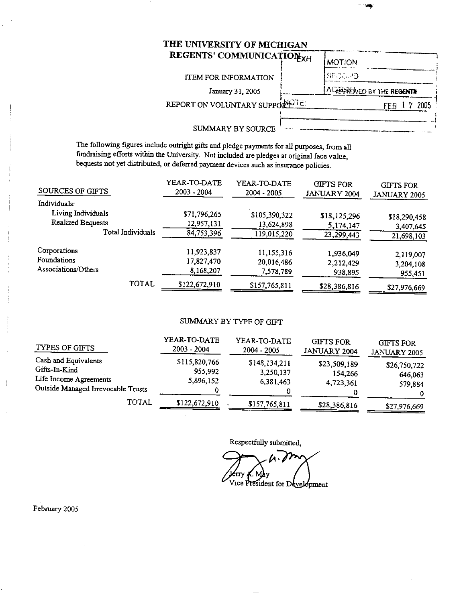# THE UNIVERSITY OF MICHIGAN

| REGENTS' COMMUNICATIONXH      | <b>MOTION</b>                     |
|-------------------------------|-----------------------------------|
| <b>ITEM FOR INFORMATION</b>   | SECC. 40                          |
| January 31, 2005              | <b>AC EXAMINED BY THE REGENTS</b> |
| REPORT ON VOLUNTARY SUPPORTE: |                                   |
| SUMMARY BY SOURCE             |                                   |

The following figures include outright gifts and pledge payments for all purposes, from all fundraising efforts within the University. Not included are pledges at original face value, bequests not yet distributed, or deferred payment devices such as insurance policies.

| SOURCES OF GIFTS         | YEAR-TO-DATE<br>2003 - 2004 | YEAR-TO-DATE<br>2004 - 2005 | <b>GIFTS FOR</b><br>JANUARY 2004 | <b>GIFTS FOR</b><br>JANUARY 2005 |
|--------------------------|-----------------------------|-----------------------------|----------------------------------|----------------------------------|
| Individuals:             |                             |                             |                                  |                                  |
| Living Individuals       | \$71,796,265                | \$105,390,322               | \$18,125,296                     | \$18,290,458                     |
| <b>Realized Bequests</b> | 12,957,131                  | 13,624,898                  | 5,174,147                        | 3,407,645                        |
| Total Individuals        | 84,753,396                  | 119,015,220                 | 23,299,443                       | 21,698,103                       |
| Corporations             | 11,923,837                  | 11,155,316                  | 1,936,049                        | 2,119,007                        |
| Foundations              | 17,827,470                  | 20,016,486                  | 2,212,429                        | 3,204,108                        |
| Associations/Others      | 8,168,207                   | 7,578,789                   | 938,895                          | 955,451                          |
| TOTAL                    | \$122,672,910               | \$157,765,811               | \$28,386,816                     | \$27,976,669                     |

## SUMMARY BY TYPE OF GIFT

| TYPES OF GIFTS                                                                                        | YEAR-TO-DATE<br>$2003 - 2004$         | YEAR-TO-DATE<br>$2004 - 2005$           | <b>GIFTS FOR</b><br><b>JANUARY 2004</b> | <b>GIFTS FOR</b><br>JANUARY 2005   |
|-------------------------------------------------------------------------------------------------------|---------------------------------------|-----------------------------------------|-----------------------------------------|------------------------------------|
| Cash and Equivalents<br>Gifts-In-Kind<br>Life Income Agreements<br>Outside Managed Irrevocable Trusts | \$115,820,766<br>955,992<br>5,896,152 | \$148,134,211<br>3,250,137<br>6,381,463 | \$23,509,189<br>154,266<br>4,723,361    | \$26,750,722<br>646,063<br>579,884 |
| <b>TOTAL</b>                                                                                          | \$122,672,910                         | \$157,765,811                           | \$28,386,816                            | \$27,976,669                       |

Respectfully submitted,

 $\boldsymbol{\mathsf{\Lambda}}\cdot\boldsymbol{\mathsf{\ell}}$ Jerry *K*. May<br>Vice President for Development  $\mathbf{C}$ . M

February 2005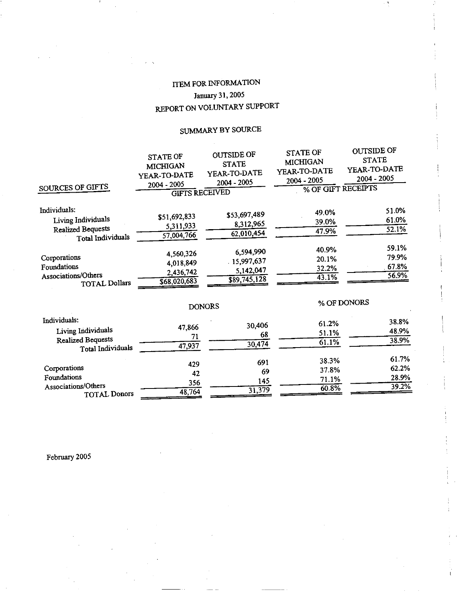# **ITEM FOR INFORMATION** January 31, 2005 REPORT ON VOLUNTARY SUPPORT

# SUMMARY BY SOURCE

| SOURCES OF GIFTS                                                                    | <b>STATE OF</b><br><b>MICHIGAN</b><br>YEAR-TO-DATE<br>2004 - 2005<br><b>GIFTS RECEIVED</b> | <b>OUTSIDE OF</b><br><b>STATE</b><br>YEAR-TO-DATE<br>2004 - 2005 | <b>STATE OF</b><br><b>MICHIGAN</b><br>YEAR-TO-DATE<br>2004 - 2005<br>% OF GIFT RECEIPTS | <b>OUTSIDE OF</b><br><b>STATE</b><br>YEAR-TO-DATE<br>2004 - 2005 |
|-------------------------------------------------------------------------------------|--------------------------------------------------------------------------------------------|------------------------------------------------------------------|-----------------------------------------------------------------------------------------|------------------------------------------------------------------|
| Individuals:<br>Living Individuals<br><b>Realized Bequests</b><br>Total Individuals | \$51,692,833<br>5,311,933<br>57,004,766                                                    | \$53,697,489<br>8,312,965<br>$\sqrt{62,010,454}$                 | 49.0%<br>39.0%<br>47.9%                                                                 | 51.0%<br>61.0%<br>52.1%                                          |
| Corporations<br>Foundations<br>Associations/Others<br><b>TOTAL Dollars</b>          | 4,560,326<br>4,018,849<br>2,436,742<br>568,020,683                                         | 6,594,990<br>15,997,637<br>5,142,047<br>$\overline{$89,745,128}$ | 40.9%<br>20.1%<br>32.2%<br>43.1%                                                        | 59.1%<br>79.9%<br>67.8%<br>56.9%                                 |
|                                                                                     |                                                                                            | <b>DONORS</b>                                                    |                                                                                         | % OF DONORS                                                      |
| Individuals:<br>Living Individuals<br><b>Realized Bequests</b><br>Total Individuals | 47,866<br>71<br>47,937                                                                     | 30,406<br>68<br>30,474                                           | 61.2%<br>51.1%<br>61.1%                                                                 | 38.8%<br>48.9%<br>38.9%                                          |
| Corporations<br>Foundations<br>Associations/Others<br><b>TOTAL Donors</b>           | 429<br>42<br>356<br>48,764                                                                 | 691<br>69<br>145<br>31,379                                       | 38.3%<br>37.8%<br>71.1%<br>60.8%                                                        | 61.7%<br>62.2%<br>28.9%<br>39.2%                                 |

February 2005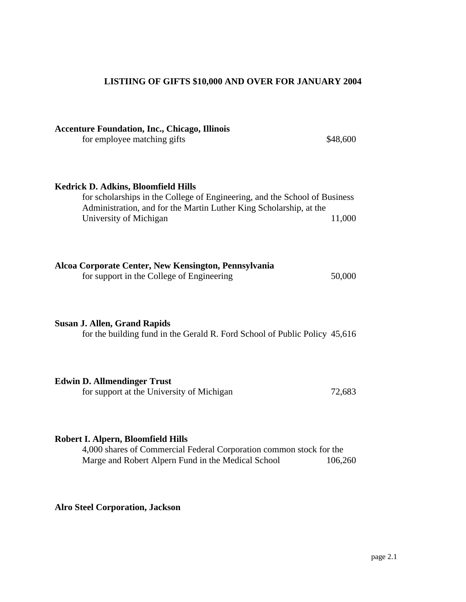# **LISTIING OF GIFTS \$10,000 AND OVER FOR JANUARY 2004**

| <b>Accenture Foundation, Inc., Chicago, Illinois</b><br>for employee matching gifts                                                                                                                                      | \$48,600 |
|--------------------------------------------------------------------------------------------------------------------------------------------------------------------------------------------------------------------------|----------|
| <b>Kedrick D. Adkins, Bloomfield Hills</b><br>for scholarships in the College of Engineering, and the School of Business<br>Administration, and for the Martin Luther King Scholarship, at the<br>University of Michigan | 11,000   |
| Alcoa Corporate Center, New Kensington, Pennsylvania<br>for support in the College of Engineering                                                                                                                        | 50,000   |
| <b>Susan J. Allen, Grand Rapids</b><br>for the building fund in the Gerald R. Ford School of Public Policy 45,616                                                                                                        |          |
| <b>Edwin D. Allmendinger Trust</b><br>for support at the University of Michigan                                                                                                                                          | 72,683   |
| Robert I. Alpern, Bloomfield Hills<br>4,000 shares of Commercial Federal Corporation common stock for the<br>Marge and Robert Alpern Fund in the Medical School                                                          | 106,260  |

**Alro Steel Corporation, Jackson**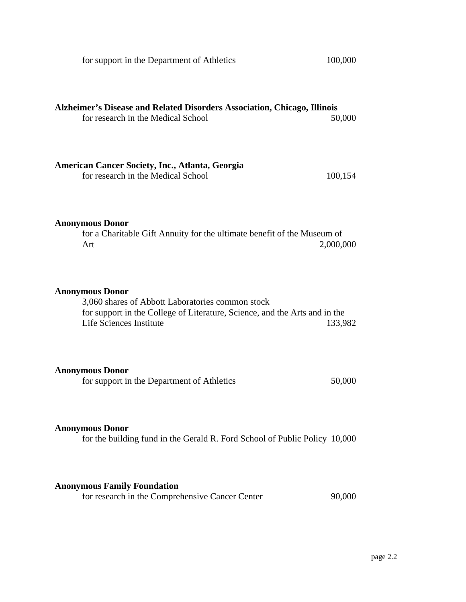| for support in the Department of Athletics                                                                                                                                          | 100,000   |
|-------------------------------------------------------------------------------------------------------------------------------------------------------------------------------------|-----------|
| Alzheimer's Disease and Related Disorders Association, Chicago, Illinois<br>for research in the Medical School                                                                      | 50,000    |
| American Cancer Society, Inc., Atlanta, Georgia<br>for research in the Medical School                                                                                               | 100,154   |
| <b>Anonymous Donor</b><br>for a Charitable Gift Annuity for the ultimate benefit of the Museum of<br>Art                                                                            | 2,000,000 |
| <b>Anonymous Donor</b><br>3,060 shares of Abbott Laboratories common stock<br>for support in the College of Literature, Science, and the Arts and in the<br>Life Sciences Institute | 133,982   |
| <b>Anonymous Donor</b><br>for support in the Department of Athletics                                                                                                                | 50,000    |
| <b>Anonymous Donor</b><br>for the building fund in the Gerald R. Ford School of Public Policy 10,000                                                                                |           |
| <b>Anonymous Family Foundation</b><br>for research in the Comprehensive Cancer Center                                                                                               | 90,000    |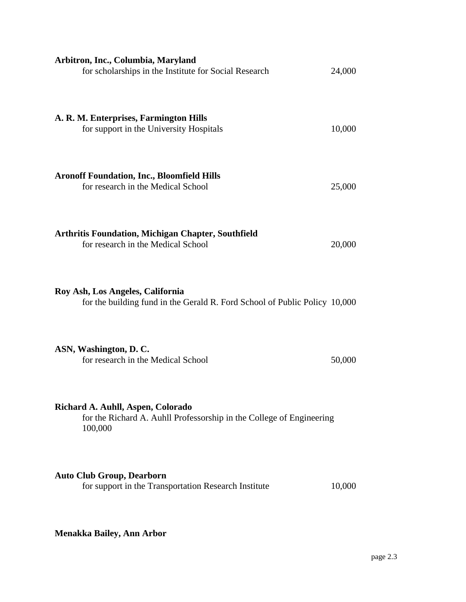| Arbitron, Inc., Columbia, Maryland<br>for scholarships in the Institute for Social Research                          | 24,000 |
|----------------------------------------------------------------------------------------------------------------------|--------|
| A. R. M. Enterprises, Farmington Hills<br>for support in the University Hospitals                                    | 10,000 |
| <b>Aronoff Foundation, Inc., Bloomfield Hills</b><br>for research in the Medical School                              | 25,000 |
| <b>Arthritis Foundation, Michigan Chapter, Southfield</b><br>for research in the Medical School                      | 20,000 |
| Roy Ash, Los Angeles, California<br>for the building fund in the Gerald R. Ford School of Public Policy 10,000       |        |
| ASN, Washington, D.C.<br>for research in the Medical School                                                          | 50,000 |
| Richard A. Auhll, Aspen, Colorado<br>for the Richard A. Auhll Professorship in the College of Engineering<br>100,000 |        |
| <b>Auto Club Group, Dearborn</b><br>for support in the Transportation Research Institute                             | 10,000 |

**Menakka Bailey, Ann Arbor**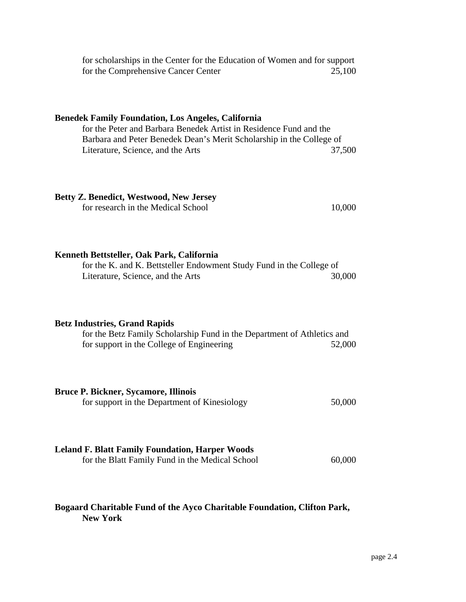| for scholarships in the Center for the Education of Women and for support<br>for the Comprehensive Cancer Center                                                                                                                             | 25,100 |
|----------------------------------------------------------------------------------------------------------------------------------------------------------------------------------------------------------------------------------------------|--------|
| <b>Benedek Family Foundation, Los Angeles, California</b><br>for the Peter and Barbara Benedek Artist in Residence Fund and the<br>Barbara and Peter Benedek Dean's Merit Scholarship in the College of<br>Literature, Science, and the Arts | 37,500 |
| <b>Betty Z. Benedict, Westwood, New Jersey</b><br>for research in the Medical School                                                                                                                                                         | 10,000 |
| Kenneth Bettsteller, Oak Park, California<br>for the K. and K. Bettsteller Endowment Study Fund in the College of<br>Literature, Science, and the Arts                                                                                       | 30,000 |
| <b>Betz Industries, Grand Rapids</b><br>for the Betz Family Scholarship Fund in the Department of Athletics and<br>for support in the College of Engineering                                                                                 | 52,000 |
| <b>Bruce P. Bickner, Sycamore, Illinois</b><br>for support in the Department of Kinesiology                                                                                                                                                  | 50,000 |
| <b>Leland F. Blatt Family Foundation, Harper Woods</b><br>for the Blatt Family Fund in the Medical School                                                                                                                                    | 60,000 |

## **Bogaard Charitable Fund of the Ayco Charitable Foundation, Clifton Park, New York**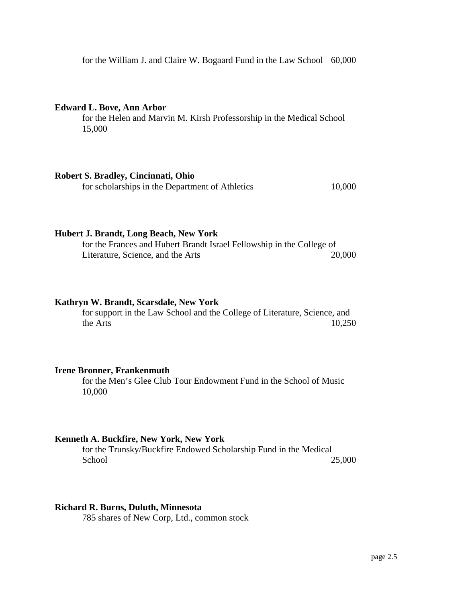for the William J. and Claire W. Bogaard Fund in the Law School 60,000

#### **Edward L. Bove, Ann Arbor**

for the Helen and Marvin M. Kirsh Professorship in the Medical School 15,000

## **Robert S. Bradley, Cincinnati, Ohio**

for scholarships in the Department of Athletics 10,000

#### **Hubert J. Brandt, Long Beach, New York**

for the Frances and Hubert Brandt Israel Fellowship in the College of Literature, Science, and the Arts 20,000

#### **Kathryn W. Brandt, Scarsdale, New York**

for support in the Law School and the College of Literature, Science, and the Arts  $10,250$ 

#### **Irene Bronner, Frankenmuth**

for the Men's Glee Club Tour Endowment Fund in the School of Music 10,000

## **Kenneth A. Buckfire, New York, New York**

for the Trunsky/Buckfire Endowed Scholarship Fund in the Medical School 25,000

#### **Richard R. Burns, Duluth, Minnesota**

785 shares of New Corp, Ltd., common stock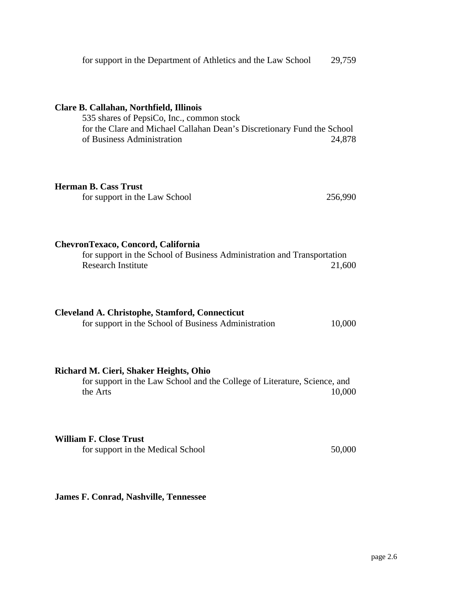| for support in the Department of Athletics and the Law School                                                                                                                                 | 29,759  |
|-----------------------------------------------------------------------------------------------------------------------------------------------------------------------------------------------|---------|
| Clare B. Callahan, Northfield, Illinois<br>535 shares of PepsiCo, Inc., common stock<br>for the Clare and Michael Callahan Dean's Discretionary Fund the School<br>of Business Administration | 24,878  |
| <b>Herman B. Cass Trust</b><br>for support in the Law School                                                                                                                                  | 256,990 |
| ChevronTexaco, Concord, California<br>for support in the School of Business Administration and Transportation<br><b>Research Institute</b>                                                    | 21,600  |
| <b>Cleveland A. Christophe, Stamford, Connecticut</b><br>for support in the School of Business Administration                                                                                 | 10,000  |
| Richard M. Cieri, Shaker Heights, Ohio<br>for support in the Law School and the College of Literature, Science, and<br>the Arts                                                               | 10,000  |
| <b>William F. Close Trust</b><br>for support in the Medical School                                                                                                                            | 50,000  |

**James F. Conrad, Nashville, Tennessee**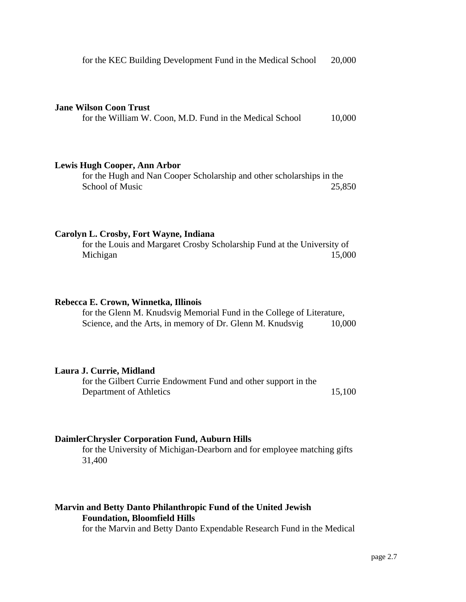#### **Jane Wilson Coon Trust**

for the William W. Coon, M.D. Fund in the Medical School 10,000

## **Lewis Hugh Cooper, Ann Arbor**

for the Hugh and Nan Cooper Scholarship and other scholarships in the School of Music 25,850

### **Carolyn L. Crosby, Fort Wayne, Indiana**

for the Louis and Margaret Crosby Scholarship Fund at the University of Michigan 15,000

#### **Rebecca E. Crown, Winnetka, Illinois**

for the Glenn M. Knudsvig Memorial Fund in the College of Literature, Science, and the Arts, in memory of Dr. Glenn M. Knudsvig 10,000

#### **Laura J. Currie, Midland**

for the Gilbert Currie Endowment Fund and other support in the Department of Athletics 15,100

## **DaimlerChrysler Corporation Fund, Auburn Hills**

for the University of Michigan-Dearborn and for employee matching gifts 31,400

## **Marvin and Betty Danto Philanthropic Fund of the United Jewish Foundation, Bloomfield Hills**

for the Marvin and Betty Danto Expendable Research Fund in the Medical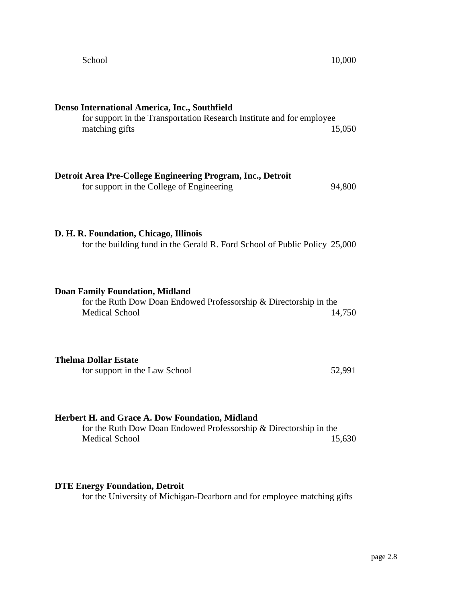| Denso International America, Inc., Southfield<br>for support in the Transportation Research Institute and for employee<br>matching gifts      | 15,050 |
|-----------------------------------------------------------------------------------------------------------------------------------------------|--------|
| Detroit Area Pre-College Engineering Program, Inc., Detroit<br>for support in the College of Engineering                                      | 94,800 |
| D. H. R. Foundation, Chicago, Illinois<br>for the building fund in the Gerald R. Ford School of Public Policy 25,000                          |        |
| <b>Doan Family Foundation, Midland</b><br>for the Ruth Dow Doan Endowed Professorship & Directorship in the<br><b>Medical School</b>          | 14,750 |
| <b>Thelma Dollar Estate</b><br>for support in the Law School                                                                                  | 52,991 |
| Herbert H. and Grace A. Dow Foundation, Midland<br>for the Ruth Dow Doan Endowed Professorship & Directorship in the<br><b>Medical School</b> | 15,630 |

# **DTE Energy Foundation, Detroit**

for the University of Michigan-Dearborn and for employee matching gifts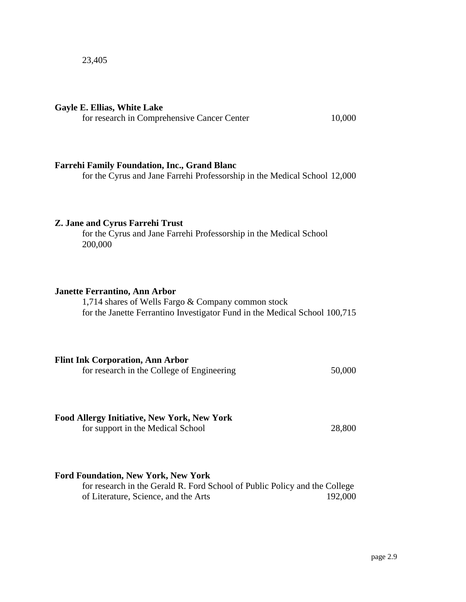#### **Gayle E. Ellias, White Lake**

for research in Comprehensive Cancer Center 10,000

## **Farrehi Family Foundation, Inc., Grand Blanc**

for the Cyrus and Jane Farrehi Professorship in the Medical School 12,000

#### **Z. Jane and Cyrus Farrehi Trust**

for the Cyrus and Jane Farrehi Professorship in the Medical School 200,000

#### **Janette Ferrantino, Ann Arbor**

1,714 shares of Wells Fargo & Company common stock for the Janette Ferrantino Investigator Fund in the Medical School 100,715

| <b>Flint Ink Corporation, Ann Arbor</b>                                             |        |
|-------------------------------------------------------------------------------------|--------|
| $\mathcal{C}$ 1, 1, 1, $\mathcal{C}$ 11, $\mathcal{C}$ $\mathbf{F}$ , $\mathcal{C}$ | $\sim$ |

for research in the College of Engineering 50,000

#### **Food Allergy Initiative, New York, New York**

for support in the Medical School 28,800

## **Ford Foundation, New York, New York**

for research in the Gerald R. Ford School of Public Policy and the College of Literature, Science, and the Arts 192,000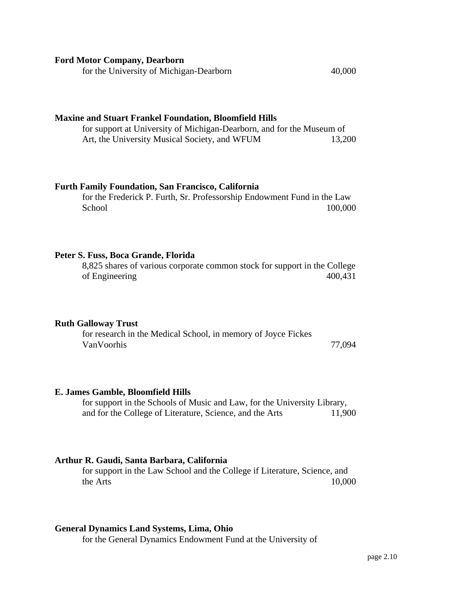| <b>Ford Motor Company, Dearborn</b><br>for the University of Michigan-Dearborn                                                                                                          | 40,000  |
|-----------------------------------------------------------------------------------------------------------------------------------------------------------------------------------------|---------|
| <b>Maxine and Stuart Frankel Foundation, Bloomfield Hills</b><br>for support at University of Michigan-Dearborn, and for the Museum of<br>Art, the University Musical Society, and WFUM | 13,200  |
| <b>Furth Family Foundation, San Francisco, California</b><br>for the Frederick P. Furth, Sr. Professorship Endowment Fund in the Law<br>School                                          | 100,000 |
| Peter S. Fuss, Boca Grande, Florida<br>8,825 shares of various corporate common stock for support in the College<br>of Engineering                                                      | 400,431 |
| <b>Ruth Galloway Trust</b><br>for research in the Medical School, in memory of Joyce Fickes<br>VanVoorhis                                                                               | 77,094  |
| E. James Gamble, Bloomfield Hills<br>for support in the Schools of Music and Law, for the University Library,<br>and for the College of Literature, Science, and the Arts               | 11,900  |
| Arthur R. Gaudi, Santa Barbara, California                                                                                                                                              |         |

for support in the Law School and the College if Literature, Science, and the Arts 10,000

# **General Dynamics Land Systems, Lima, Ohio**

for the General Dynamics Endowment Fund at the University of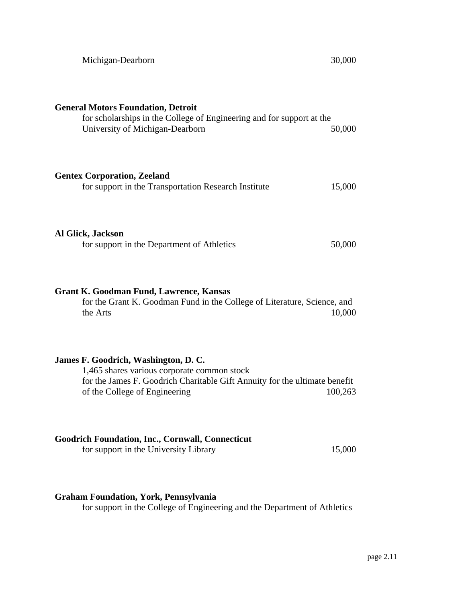| Michigan-Dearborn                                                                                                                                                                                  | 30,000  |
|----------------------------------------------------------------------------------------------------------------------------------------------------------------------------------------------------|---------|
| <b>General Motors Foundation, Detroit</b><br>for scholarships in the College of Engineering and for support at the<br>University of Michigan-Dearborn                                              | 50,000  |
| <b>Gentex Corporation, Zeeland</b><br>for support in the Transportation Research Institute                                                                                                         | 15,000  |
| <b>Al Glick, Jackson</b><br>for support in the Department of Athletics                                                                                                                             | 50,000  |
| <b>Grant K. Goodman Fund, Lawrence, Kansas</b><br>for the Grant K. Goodman Fund in the College of Literature, Science, and<br>the Arts                                                             | 10,000  |
| James F. Goodrich, Washington, D. C.<br>1,465 shares various corporate common stock<br>for the James F. Goodrich Charitable Gift Annuity for the ultimate benefit<br>of the College of Engineering | 100,263 |
| <b>Goodrich Foundation, Inc., Cornwall, Connecticut</b><br>for support in the University Library                                                                                                   | 15,000  |

## **Graham Foundation, York, Pennsylvania**

for support in the College of Engineering and the Department of Athletics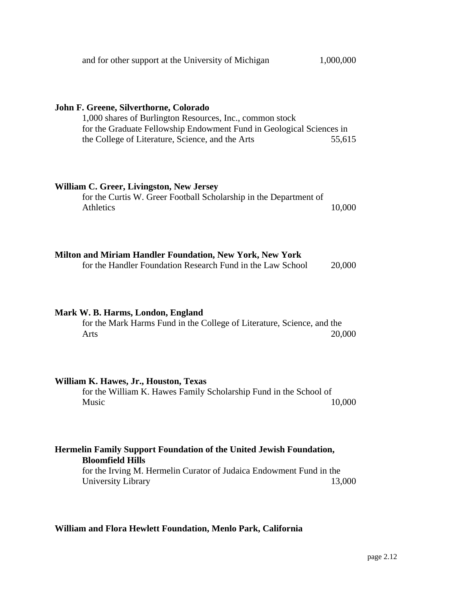| and for other support at the University of Michigan                                                                                                                                                                            | 1,000,000 |
|--------------------------------------------------------------------------------------------------------------------------------------------------------------------------------------------------------------------------------|-----------|
| John F. Greene, Silverthorne, Colorado<br>1,000 shares of Burlington Resources, Inc., common stock<br>for the Graduate Fellowship Endowment Fund in Geological Sciences in<br>the College of Literature, Science, and the Arts | 55,615    |
| William C. Greer, Livingston, New Jersey<br>for the Curtis W. Greer Football Scholarship in the Department of<br>Athletics                                                                                                     | 10,000    |
| <b>Milton and Miriam Handler Foundation, New York, New York</b><br>for the Handler Foundation Research Fund in the Law School                                                                                                  | 20,000    |
| Mark W. B. Harms, London, England<br>for the Mark Harms Fund in the College of Literature, Science, and the<br>Arts                                                                                                            | 20,000    |
| William K. Hawes, Jr., Houston, Texas<br>for the William K. Hawes Family Scholarship Fund in the School of<br>Music                                                                                                            | 10,000    |
| Hermelin Family Support Foundation of the United Jewish Foundation,<br><b>Bloomfield Hills</b><br>for the Irving M. Hermelin Curator of Judaica Endowment Fund in the<br>University Library                                    | 13,000    |

# **William and Flora Hewlett Foundation, Menlo Park, California**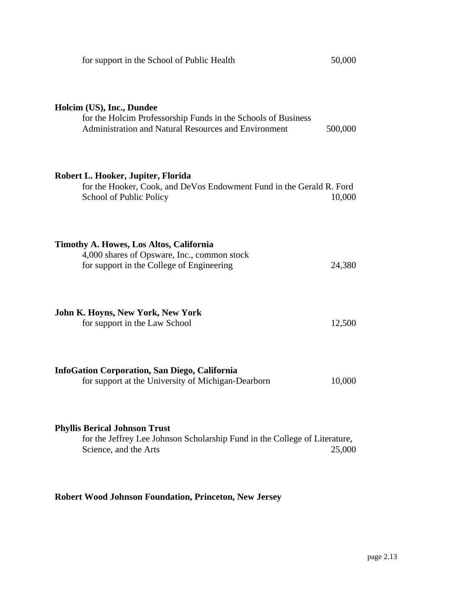| for support in the School of Public Health                                                                                                         | 50,000  |
|----------------------------------------------------------------------------------------------------------------------------------------------------|---------|
| Holcim (US), Inc., Dundee<br>for the Holcim Professorship Funds in the Schools of Business<br>Administration and Natural Resources and Environment | 500,000 |
| Robert L. Hooker, Jupiter, Florida<br>for the Hooker, Cook, and DeVos Endowment Fund in the Gerald R. Ford<br>School of Public Policy              | 10,000  |
| Timothy A. Howes, Los Altos, California<br>4,000 shares of Opsware, Inc., common stock<br>for support in the College of Engineering                | 24,380  |
| <b>John K. Hoyns, New York, New York</b><br>for support in the Law School                                                                          | 12,500  |
| <b>InfoGation Corporation, San Diego, California</b><br>for support at the University of Michigan-Dearborn                                         | 10,000  |
| <b>Phyllis Berical Johnson Trust</b><br>for the Jeffrey Lee Johnson Scholarship Fund in the College of Literature,<br>Science, and the Arts        | 25,000  |

# **Robert Wood Johnson Foundation, Princeton, New Jersey**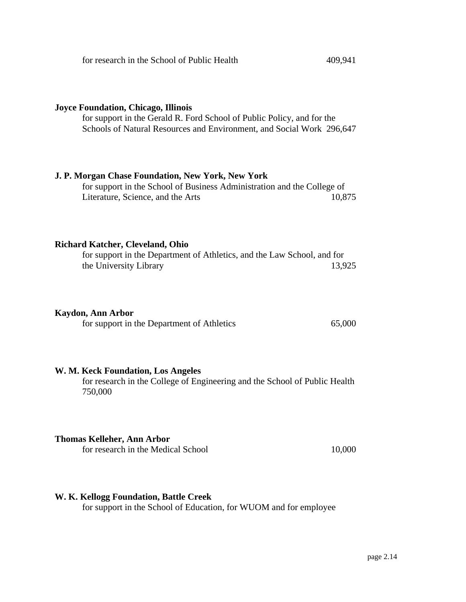## **Joyce Foundation, Chicago, Illinois**

for support in the Gerald R. Ford School of Public Policy, and for the Schools of Natural Resources and Environment, and Social Work 296,647

## **J. P. Morgan Chase Foundation, New York, New York**

for support in the School of Business Administration and the College of Literature, Science, and the Arts 10,875

## **Richard Katcher, Cleveland, Ohio**

| for support in the Department of Athletics, and the Law School, and for |        |
|-------------------------------------------------------------------------|--------|
| the University Library                                                  | 13,925 |

## **Kaydon, Ann Arbor**

| for support in the Department of Athletics | 65,000 |
|--------------------------------------------|--------|
|--------------------------------------------|--------|

## **W. M. Keck Foundation, Los Angeles**

for research in the College of Engineering and the School of Public Health 750,000

## **Thomas Kelleher, Ann Arbor**

for research in the Medical School 10,000

## **W. K. Kellogg Foundation, Battle Creek**

for support in the School of Education, for WUOM and for employee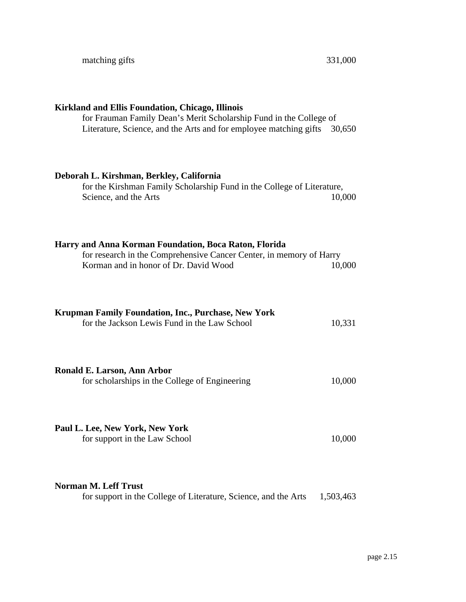| for Frauman Family Dean's Merit Scholarship Fund in the College of            |
|-------------------------------------------------------------------------------|
| 30,650                                                                        |
| for the Kirshman Family Scholarship Fund in the College of Literature,        |
| 10,000                                                                        |
|                                                                               |
| for research in the Comprehensive Cancer Center, in memory of Harry<br>10,000 |
|                                                                               |
|                                                                               |
| 10,331                                                                        |
|                                                                               |
| 10,000                                                                        |
|                                                                               |
| 10,000                                                                        |
|                                                                               |
| 1,503,463                                                                     |
|                                                                               |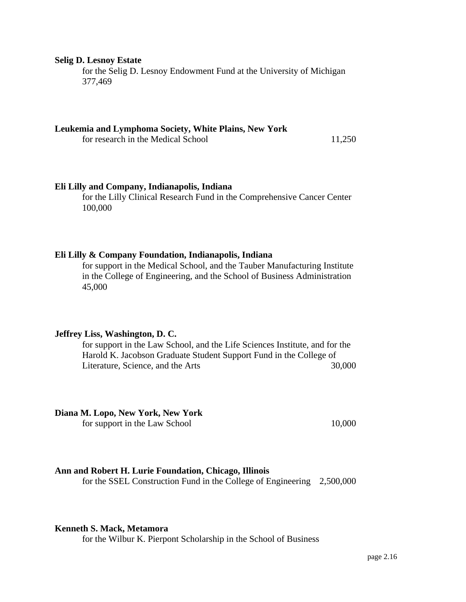#### **Selig D. Lesnoy Estate**

for the Selig D. Lesnoy Endowment Fund at the University of Michigan 377,469

## **Leukemia and Lymphoma Society, White Plains, New York**

for research in the Medical School 11,250

#### **Eli Lilly and Company, Indianapolis, Indiana**

for the Lilly Clinical Research Fund in the Comprehensive Cancer Center 100,000

#### **Eli Lilly & Company Foundation, Indianapolis, Indiana**

for support in the Medical School, and the Tauber Manufacturing Institute in the College of Engineering, and the School of Business Administration 45,000

## **Jeffrey Liss, Washington, D. C.**

for support in the Law School, and the Life Sciences Institute, and for the Harold K. Jacobson Graduate Student Support Fund in the College of Literature, Science, and the Arts 30,000

**Diana M. Lopo, New York, New York** for support in the Law School 10,000

#### **Ann and Robert H. Lurie Foundation, Chicago, Illinois**

for the SSEL Construction Fund in the College of Engineering 2,500,000

### **Kenneth S. Mack, Metamora**

for the Wilbur K. Pierpont Scholarship in the School of Business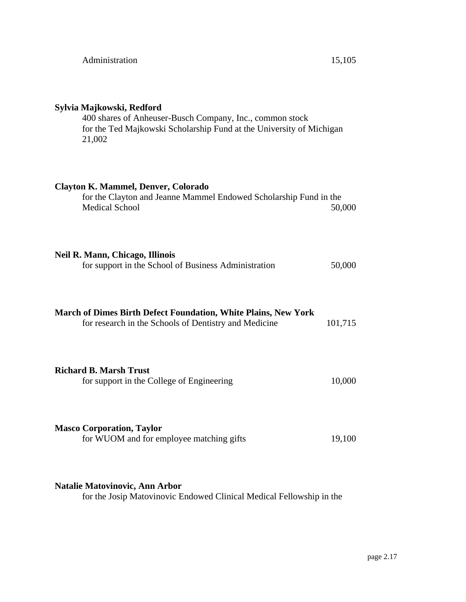## **Sylvia Majkowski, Redford**

400 shares of Anheuser-Busch Company, Inc., common stock for the Ted Majkowski Scholarship Fund at the University of Michigan 21,002

## **Clayton K. Mammel, Denver, Colorado**

| for the Clayton and Jeanne Mammel Endowed Scholarship Fund in the |        |
|-------------------------------------------------------------------|--------|
| <b>Medical School</b>                                             | 50,000 |

## **Neil R. Mann, Chicago, Illinois**

| for support in the School of Business Administration | 50,000 |
|------------------------------------------------------|--------|
|------------------------------------------------------|--------|

| March of Dimes Birth Defect Foundation, White Plains, New York<br>for research in the Schools of Dentistry and Medicine | 101,715 |
|-------------------------------------------------------------------------------------------------------------------------|---------|
| Richard B. Marsh Trust<br>for support in the College of Engineering                                                     | 10,000  |

## **Masco Corporation, Taylor** for WUOM and for employee matching gifts 19,100

## **Natalie Matovinovic, Ann Arbor**

for the Josip Matovinovic Endowed Clinical Medical Fellowship in the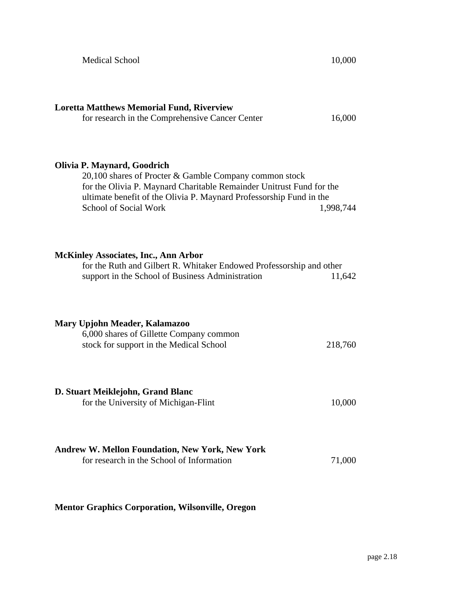| <b>Medical School</b>                                                                                                                                                                                                                                                | 10,000    |
|----------------------------------------------------------------------------------------------------------------------------------------------------------------------------------------------------------------------------------------------------------------------|-----------|
| <b>Loretta Matthews Memorial Fund, Riverview</b><br>for research in the Comprehensive Cancer Center                                                                                                                                                                  | 16,000    |
| Olivia P. Maynard, Goodrich<br>20,100 shares of Procter & Gamble Company common stock<br>for the Olivia P. Maynard Charitable Remainder Unitrust Fund for the<br>ultimate benefit of the Olivia P. Maynard Professorship Fund in the<br><b>School of Social Work</b> | 1,998,744 |
| <b>McKinley Associates, Inc., Ann Arbor</b><br>for the Ruth and Gilbert R. Whitaker Endowed Professorship and other<br>support in the School of Business Administration                                                                                              | 11,642    |
| Mary Upjohn Meader, Kalamazoo<br>6,000 shares of Gillette Company common<br>stock for support in the Medical School                                                                                                                                                  | 218,760   |
| D. Stuart Meiklejohn, Grand Blanc<br>for the University of Michigan-Flint                                                                                                                                                                                            | 10,000    |
| <b>Andrew W. Mellon Foundation, New York, New York</b><br>for research in the School of Information                                                                                                                                                                  | 71,000    |

# **Mentor Graphics Corporation, Wilsonville, Oregon**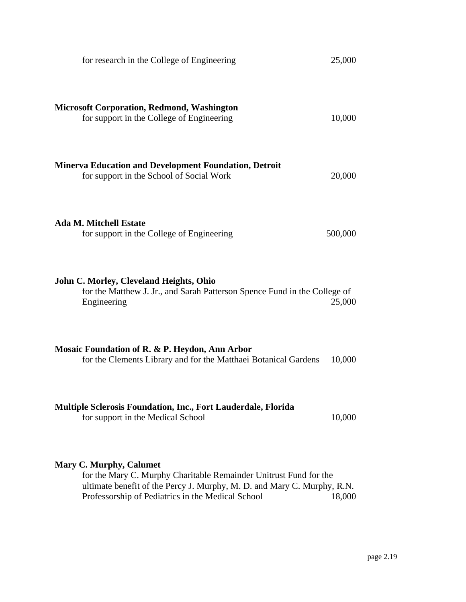| for research in the College of Engineering                                                                                                                                                                                          | 25,000  |
|-------------------------------------------------------------------------------------------------------------------------------------------------------------------------------------------------------------------------------------|---------|
| <b>Microsoft Corporation, Redmond, Washington</b><br>for support in the College of Engineering                                                                                                                                      | 10,000  |
| <b>Minerva Education and Development Foundation, Detroit</b><br>for support in the School of Social Work                                                                                                                            | 20,000  |
| <b>Ada M. Mitchell Estate</b><br>for support in the College of Engineering                                                                                                                                                          | 500,000 |
| John C. Morley, Cleveland Heights, Ohio<br>for the Matthew J. Jr., and Sarah Patterson Spence Fund in the College of<br>Engineering                                                                                                 | 25,000  |
| Mosaic Foundation of R. & P. Heydon, Ann Arbor<br>for the Clements Library and for the Matthaei Botanical Gardens                                                                                                                   | 10,000  |
| Multiple Sclerosis Foundation, Inc., Fort Lauderdale, Florida<br>for support in the Medical School                                                                                                                                  | 10,000  |
| <b>Mary C. Murphy, Calumet</b><br>for the Mary C. Murphy Charitable Remainder Unitrust Fund for the<br>ultimate benefit of the Percy J. Murphy, M. D. and Mary C. Murphy, R.N.<br>Professorship of Pediatrics in the Medical School | 18,000  |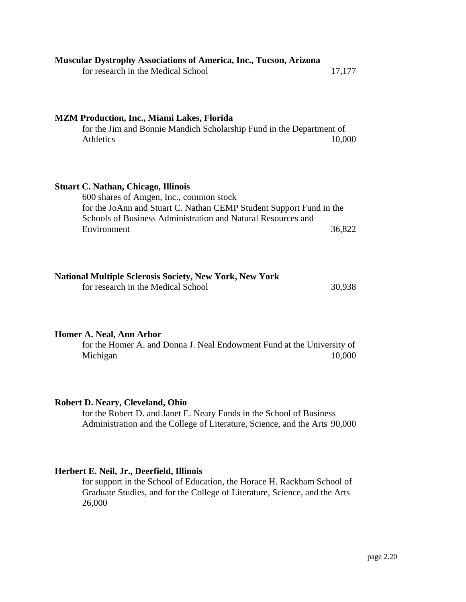| <b>Muscular Dystrophy Associations of America, Inc., Tucson, Arizona</b><br>for research in the Medical School                                                                                                                              | 17,177 |
|---------------------------------------------------------------------------------------------------------------------------------------------------------------------------------------------------------------------------------------------|--------|
| <b>MZM Production, Inc., Miami Lakes, Florida</b><br>for the Jim and Bonnie Mandich Scholarship Fund in the Department of<br><b>Athletics</b>                                                                                               | 10,000 |
| <b>Stuart C. Nathan, Chicago, Illinois</b><br>600 shares of Amgen, Inc., common stock<br>for the JoAnn and Stuart C. Nathan CEMP Student Support Fund in the<br>Schools of Business Administration and Natural Resources and<br>Environment | 36,822 |

| <b>National Multiple Sclerosis Society, New York, New York</b> |  |
|----------------------------------------------------------------|--|
|----------------------------------------------------------------|--|

for research in the Medical School 30,938

## **Homer A. Neal, Ann Arbor**

for the Homer A. and Donna J. Neal Endowment Fund at the University of Michigan 10,000

## **Robert D. Neary, Cleveland, Ohio**

for the Robert D. and Janet E. Neary Funds in the School of Business Administration and the College of Literature, Science, and the Arts 90,000

## **Herbert E. Neil, Jr., Deerfield, Illinois**

for support in the School of Education, the Horace H. Rackham School of Graduate Studies, and for the College of Literature, Science, and the Arts 26,000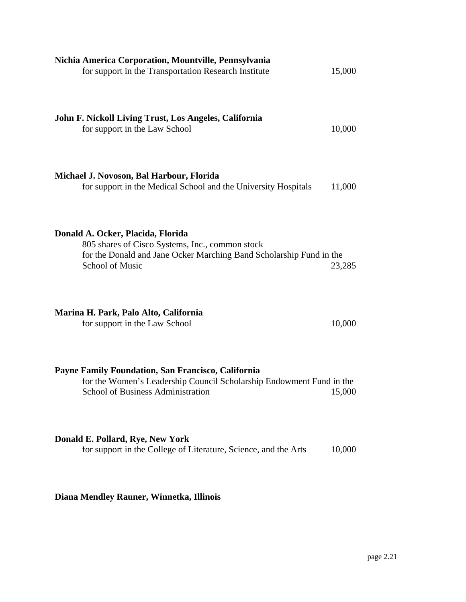| Nichia America Corporation, Mountville, Pennsylvania<br>for support in the Transportation Research Institute                                                                          | 15,000 |
|---------------------------------------------------------------------------------------------------------------------------------------------------------------------------------------|--------|
| John F. Nickoll Living Trust, Los Angeles, California<br>for support in the Law School                                                                                                | 10,000 |
| Michael J. Novoson, Bal Harbour, Florida<br>for support in the Medical School and the University Hospitals                                                                            | 11,000 |
| Donald A. Ocker, Placida, Florida<br>805 shares of Cisco Systems, Inc., common stock<br>for the Donald and Jane Ocker Marching Band Scholarship Fund in the<br><b>School of Music</b> | 23,285 |
| Marina H. Park, Palo Alto, California<br>for support in the Law School                                                                                                                | 10,000 |
| Payne Family Foundation, San Francisco, California<br>for the Women's Leadership Council Scholarship Endowment Fund in the<br>School of Business Administration                       | 15,000 |
| Donald E. Pollard, Rye, New York<br>for support in the College of Literature, Science, and the Arts                                                                                   | 10,000 |

**Diana Mendley Rauner, Winnetka, Illinois**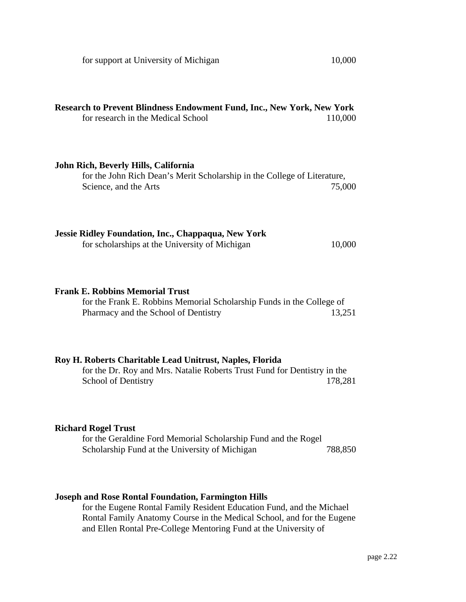| Research to Prevent Blindness Endowment Fund, Inc., New York, New York<br>for research in the Medical School                                                | 110,000 |
|-------------------------------------------------------------------------------------------------------------------------------------------------------------|---------|
| John Rich, Beverly Hills, California<br>for the John Rich Dean's Merit Scholarship in the College of Literature,<br>Science, and the Arts                   | 75,000  |
| Jessie Ridley Foundation, Inc., Chappaqua, New York<br>for scholarships at the University of Michigan                                                       | 10,000  |
| <b>Frank E. Robbins Memorial Trust</b><br>for the Frank E. Robbins Memorial Scholarship Funds in the College of<br>Pharmacy and the School of Dentistry     | 13,251  |
| Roy H. Roberts Charitable Lead Unitrust, Naples, Florida<br>for the Dr. Roy and Mrs. Natalie Roberts Trust Fund for Dentistry in the<br>School of Dentistry | 178,281 |
| <b>Richard Rogel Trust</b><br>for the Geraldine Ford Memorial Scholarship Fund and the Rogel<br>Scholarship Fund at the University of Michigan              | 788,850 |

## **Joseph and Rose Rontal Foundation, Farmington Hills**

for the Eugene Rontal Family Resident Education Fund, and the Michael Rontal Family Anatomy Course in the Medical School, and for the Eugene and Ellen Rontal Pre-College Mentoring Fund at the University of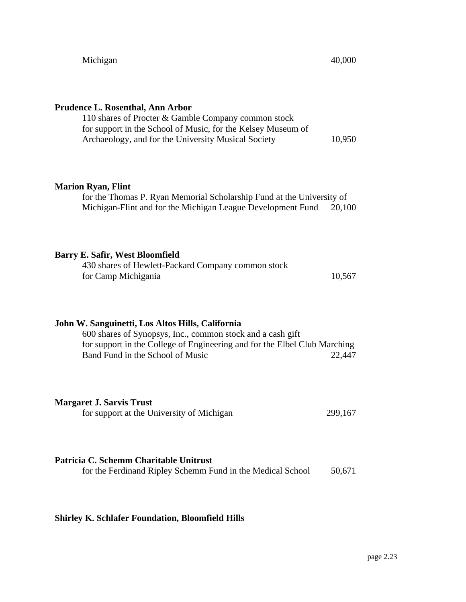| Prudence L. Rosenthal, Ann Arbor<br>110 shares of Procter & Gamble Company common stock<br>for support in the School of Music, for the Kelsey Museum of<br>Archaeology, and for the University Musical Society                  | 10,950  |
|---------------------------------------------------------------------------------------------------------------------------------------------------------------------------------------------------------------------------------|---------|
| <b>Marion Ryan, Flint</b><br>for the Thomas P. Ryan Memorial Scholarship Fund at the University of<br>Michigan-Flint and for the Michigan League Development Fund                                                               | 20,100  |
| <b>Barry E. Safir, West Bloomfield</b><br>430 shares of Hewlett-Packard Company common stock<br>for Camp Michigania                                                                                                             | 10,567  |
| John W. Sanguinetti, Los Altos Hills, California<br>600 shares of Synopsys, Inc., common stock and a cash gift<br>for support in the College of Engineering and for the Elbel Club Marching<br>Band Fund in the School of Music | 22,447  |
| <b>Margaret J. Sarvis Trust</b><br>for support at the University of Michigan                                                                                                                                                    | 299,167 |
| Patricia C. Schemm Charitable Unitrust<br>for the Ferdinand Ripley Schemm Fund in the Medical School                                                                                                                            | 50,671  |

# **Shirley K. Schlafer Foundation, Bloomfield Hills**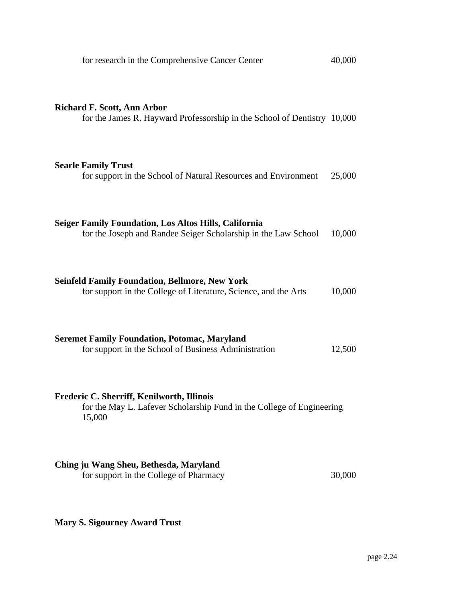| for research in the Comprehensive Cancer Center                                                                                | 40,000 |
|--------------------------------------------------------------------------------------------------------------------------------|--------|
| <b>Richard F. Scott, Ann Arbor</b><br>for the James R. Hayward Professorship in the School of Dentistry 10,000                 |        |
| <b>Searle Family Trust</b><br>for support in the School of Natural Resources and Environment                                   | 25,000 |
| <b>Seiger Family Foundation, Los Altos Hills, California</b><br>for the Joseph and Randee Seiger Scholarship in the Law School | 10,000 |
| <b>Seinfeld Family Foundation, Bellmore, New York</b><br>for support in the College of Literature, Science, and the Arts       | 10,000 |
| <b>Seremet Family Foundation, Potomac, Maryland</b><br>for support in the School of Business Administration                    | 12,500 |
| Frederic C. Sherriff, Kenilworth, Illinois<br>for the May L. Lafever Scholarship Fund in the College of Engineering<br>15,000  |        |
| Ching ju Wang Sheu, Bethesda, Maryland<br>for support in the College of Pharmacy                                               | 30,000 |

**Mary S. Sigourney Award Trust**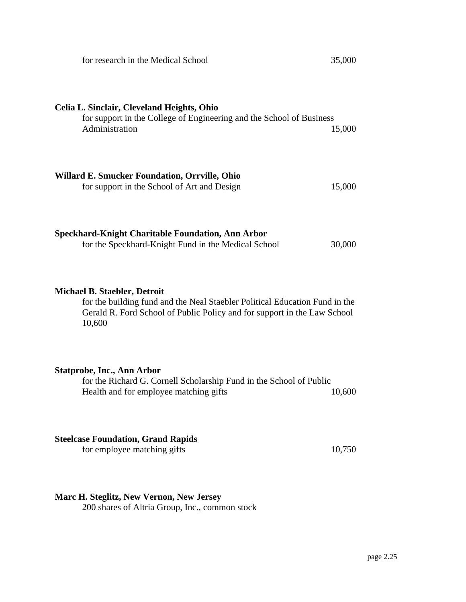| for research in the Medical School                                                                                                                                                                       | 35,000 |
|----------------------------------------------------------------------------------------------------------------------------------------------------------------------------------------------------------|--------|
| Celia L. Sinclair, Cleveland Heights, Ohio<br>for support in the College of Engineering and the School of Business<br>Administration                                                                     | 15,000 |
| Willard E. Smucker Foundation, Orrville, Ohio<br>for support in the School of Art and Design                                                                                                             | 15,000 |
| <b>Speckhard-Knight Charitable Foundation, Ann Arbor</b><br>for the Speckhard-Knight Fund in the Medical School                                                                                          | 30,000 |
| <b>Michael B. Staebler, Detroit</b><br>for the building fund and the Neal Staebler Political Education Fund in the<br>Gerald R. Ford School of Public Policy and for support in the Law School<br>10,600 |        |
| <b>Statprobe, Inc., Ann Arbor</b><br>for the Richard G. Cornell Scholarship Fund in the School of Public<br>Health and for employee matching gifts                                                       | 10,600 |
| <b>Steelcase Foundation, Grand Rapids</b><br>for employee matching gifts                                                                                                                                 | 10,750 |

**Marc H. Steglitz, New Vernon, New Jersey**

200 shares of Altria Group, Inc., common stock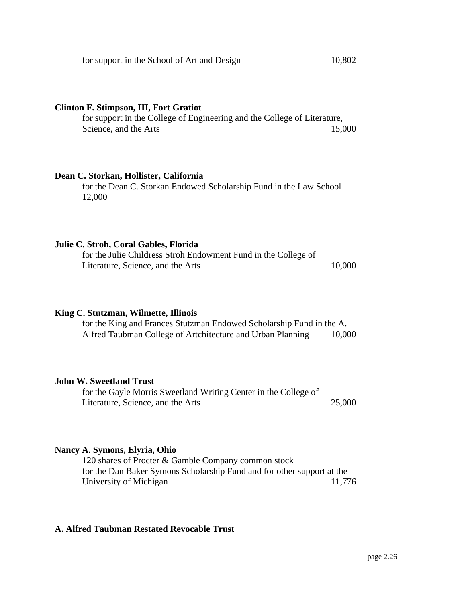## **Clinton F. Stimpson, III, Fort Gratiot**

for support in the College of Engineering and the College of Literature, Science, and the Arts 15,000

## **Dean C. Storkan, Hollister, California**

for the Dean C. Storkan Endowed Scholarship Fund in the Law School 12,000

## **Julie C. Stroh, Coral Gables, Florida**

for the Julie Childress Stroh Endowment Fund in the College of Literature, Science, and the Arts 10,000

## **King C. Stutzman, Wilmette, Illinois**

for the King and Frances Stutzman Endowed Scholarship Fund in the A. Alfred Taubman College of Artchitecture and Urban Planning 10,000

## **John W. Sweetland Trust**

for the Gayle Morris Sweetland Writing Center in the College of Literature, Science, and the Arts 25,000

## **Nancy A. Symons, Elyria, Ohio**

120 shares of Procter & Gamble Company common stock for the Dan Baker Symons Scholarship Fund and for other support at the University of Michigan 11,776

## **A. Alfred Taubman Restated Revocable Trust**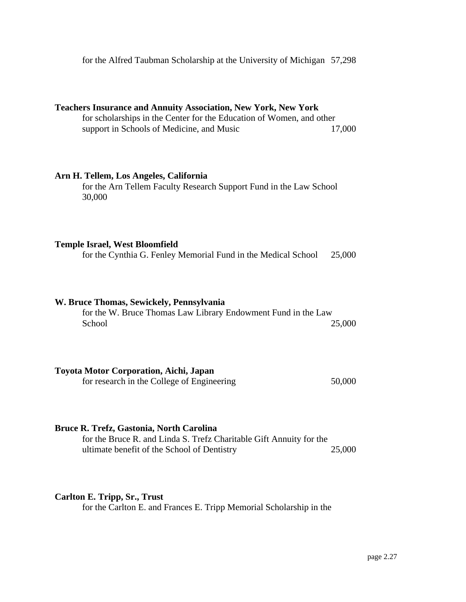for the Alfred Taubman Scholarship at the University of Michigan 57,298

|                                                                                                                 | <b>Teachers Insurance and Annuity Association, New York, New York</b><br>for scholarships in the Center for the Education of Women, and other<br>support in Schools of Medicine, and Music | 17,000 |
|-----------------------------------------------------------------------------------------------------------------|--------------------------------------------------------------------------------------------------------------------------------------------------------------------------------------------|--------|
|                                                                                                                 | Arn H. Tellem, Los Angeles, California<br>for the Arn Tellem Faculty Research Support Fund in the Law School<br>30,000                                                                     |        |
|                                                                                                                 | <b>Temple Israel, West Bloomfield</b><br>for the Cynthia G. Fenley Memorial Fund in the Medical School                                                                                     | 25,000 |
|                                                                                                                 | W. Bruce Thomas, Sewickely, Pennsylvania<br>for the W. Bruce Thomas Law Library Endowment Fund in the Law<br>School                                                                        | 25,000 |
|                                                                                                                 | <b>Toyota Motor Corporation, Aichi, Japan</b><br>for research in the College of Engineering                                                                                                | 50,000 |
| Bruce R. Trefz, Gastonia, North Carolina<br>for the Bruce R. and Linda S. Trefz Charitable Gift Annuity for the |                                                                                                                                                                                            |        |

ultimate benefit of the School of Dentistry 25,000

## **Carlton E. Tripp, Sr., Trust**

for the Carlton E. and Frances E. Tripp Memorial Scholarship in the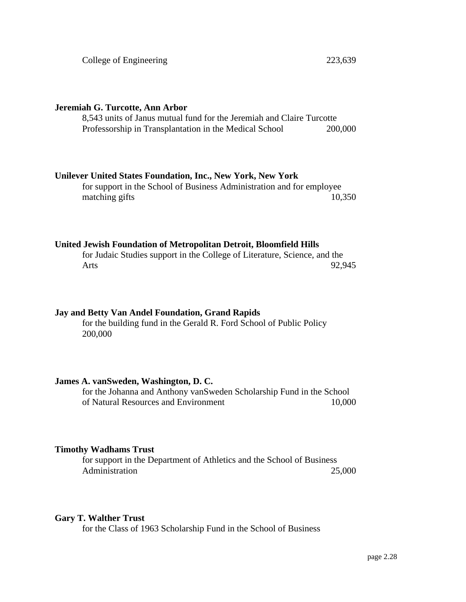## **Jeremiah G. Turcotte, Ann Arbor**

8,543 units of Janus mutual fund for the Jeremiah and Claire Turcotte Professorship in Transplantation in the Medical School 200,000

## **Unilever United States Foundation, Inc., New York, New York**

for support in the School of Business Administration and for employee matching gifts 10,350

## **United Jewish Foundation of Metropolitan Detroit, Bloomfield Hills**

for Judaic Studies support in the College of Literature, Science, and the Arts 92,945

## **Jay and Betty Van Andel Foundation, Grand Rapids**

for the building fund in the Gerald R. Ford School of Public Policy 200,000

## **James A. vanSweden, Washington, D. C.**

for the Johanna and Anthony vanSweden Scholarship Fund in the School of Natural Resources and Environment 10,000

## **Timothy Wadhams Trust**

for support in the Department of Athletics and the School of Business Administration 25,000

## **Gary T. Walther Trust**

for the Class of 1963 Scholarship Fund in the School of Business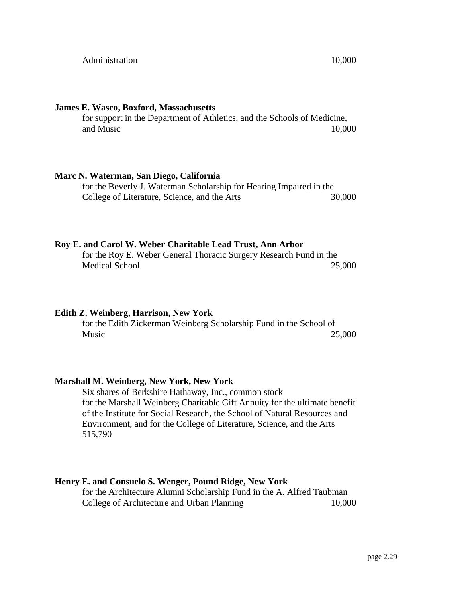#### **James E. Wasco, Boxford, Massachusetts**

for support in the Department of Athletics, and the Schools of Medicine, and Music 10,000

### **Marc N. Waterman, San Diego, California**

for the Beverly J. Waterman Scholarship for Hearing Impaired in the College of Literature, Science, and the Arts 30,000

#### **Roy E. and Carol W. Weber Charitable Lead Trust, Ann Arbor**

for the Roy E. Weber General Thoracic Surgery Research Fund in the Medical School 25,000

#### **Edith Z. Weinberg, Harrison, New York**

for the Edith Zickerman Weinberg Scholarship Fund in the School of Music 25,000

#### **Marshall M. Weinberg, New York, New York**

Six shares of Berkshire Hathaway, Inc., common stock for the Marshall Weinberg Charitable Gift Annuity for the ultimate benefit of the Institute for Social Research, the School of Natural Resources and Environment, and for the College of Literature, Science, and the Arts 515,790

### **Henry E. and Consuelo S. Wenger, Pound Ridge, New York**

for the Architecture Alumni Scholarship Fund in the A. Alfred Taubman College of Architecture and Urban Planning 10,000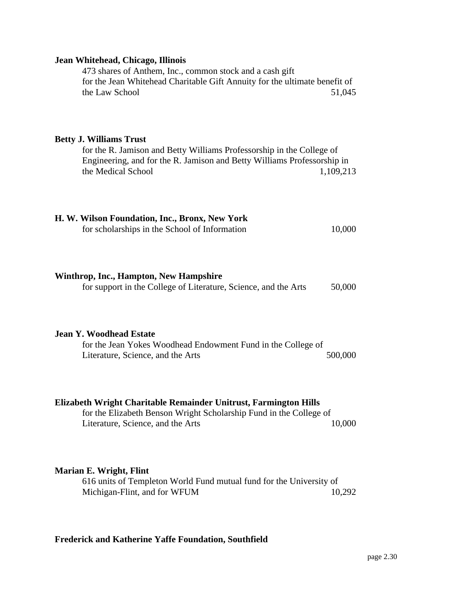## **Jean Whitehead, Chicago, Illinois**

473 shares of Anthem, Inc., common stock and a cash gift for the Jean Whitehead Charitable Gift Annuity for the ultimate benefit of the Law School 51,045

## **Betty J. Williams Trust**

for the R. Jamison and Betty Williams Professorship in the College of Engineering, and for the R. Jamison and Betty Williams Professorship in the Medical School 1,109,213

| H. W. Wilson Foundation, Inc., Bronx, New York |        |
|------------------------------------------------|--------|
| for scholarships in the School of Information  | 10,000 |

## **Winthrop, Inc., Hampton, New Hampshire**

for support in the College of Literature, Science, and the Arts 50,000

## **Jean Y. Woodhead Estate**

for the Jean Yokes Woodhead Endowment Fund in the College of Literature, Science, and the Arts 500,000

## **Elizabeth Wright Charitable Remainder Unitrust, Farmington Hills**

for the Elizabeth Benson Wright Scholarship Fund in the College of Literature, Science, and the Arts 10,000

## **Marian E. Wright, Flint**

616 units of Templeton World Fund mutual fund for the University of Michigan-Flint, and for WFUM 10,292

## **Frederick and Katherine Yaffe Foundation, Southfield**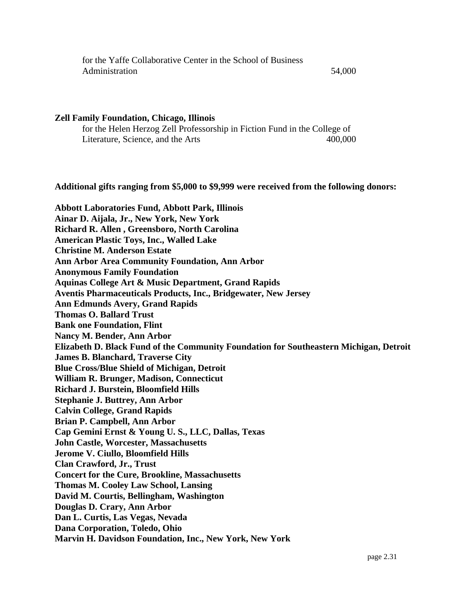| for the Yaffe Collaborative Center in the School of Business |        |
|--------------------------------------------------------------|--------|
| Administration                                               | 54,000 |

#### **Zell Family Foundation, Chicago, Illinois**

for the Helen Herzog Zell Professorship in Fiction Fund in the College of Literature, Science, and the Arts 400,000

#### **Additional gifts ranging from \$5,000 to \$9,999 were received from the following donors:**

**Abbott Laboratories Fund, Abbott Park, Illinois Ainar D. Aijala, Jr., New York, New York Richard R. Allen , Greensboro, North Carolina American Plastic Toys, Inc., Walled Lake Christine M. Anderson Estate Ann Arbor Area Community Foundation, Ann Arbor Anonymous Family Foundation Aquinas College Art & Music Department, Grand Rapids Aventis Pharmaceuticals Products, Inc., Bridgewater, New Jersey Ann Edmunds Avery, Grand Rapids Thomas O. Ballard Trust Bank one Foundation, Flint Nancy M. Bender, Ann Arbor Elizabeth D. Black Fund of the Community Foundation for Southeastern Michigan, Detroit James B. Blanchard, Traverse City Blue Cross/Blue Shield of Michigan, Detroit William R. Brunger, Madison, Connecticut Richard J. Burstein, Bloomfield Hills Stephanie J. Buttrey, Ann Arbor Calvin College, Grand Rapids Brian P. Campbell, Ann Arbor Cap Gemini Ernst & Young U. S., LLC, Dallas, Texas John Castle, Worcester, Massachusetts Jerome V. Ciullo, Bloomfield Hills Clan Crawford, Jr., Trust Concert for the Cure, Brookline, Massachusetts Thomas M. Cooley Law School, Lansing David M. Courtis, Bellingham, Washington Douglas D. Crary, Ann Arbor Dan L. Curtis, Las Vegas, Nevada Dana Corporation, Toledo, Ohio Marvin H. Davidson Foundation, Inc., New York, New York**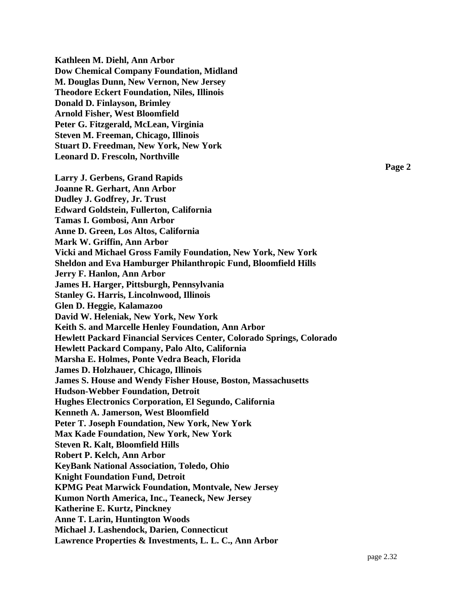**Kathleen M. Diehl, Ann Arbor Dow Chemical Company Foundation, Midland M. Douglas Dunn, New Vernon, New Jersey Theodore Eckert Foundation, Niles, Illinois Donald D. Finlayson, Brimley Arnold Fisher, West Bloomfield Peter G. Fitzgerald, McLean, Virginia Steven M. Freeman, Chicago, Illinois Stuart D. Freedman, New York, New York Leonard D. Frescoln, Northville Larry J. Gerbens, Grand Rapids Joanne R. Gerhart, Ann Arbor Dudley J. Godfrey, Jr. Trust Edward Goldstein, Fullerton, California Tamas I. Gombosi, Ann Arbor Anne D. Green, Los Altos, California Mark W. Griffin, Ann Arbor Vicki and Michael Gross Family Foundation, New York, New York Sheldon and Eva Hamburger Philanthropic Fund, Bloomfield Hills Jerry F. Hanlon, Ann Arbor James H. Harger, Pittsburgh, Pennsylvania Stanley G. Harris, Lincolnwood, Illinois Glen D. Heggie, Kalamazoo David W. Heleniak, New York, New York Keith S. and Marcelle Henley Foundation, Ann Arbor Hewlett Packard Financial Services Center, Colorado Springs, Colorado Hewlett Packard Company, Palo Alto, California Marsha E. Holmes, Ponte Vedra Beach, Florida James D. Holzhauer, Chicago, Illinois James S. House and Wendy Fisher House, Boston, Massachusetts Hudson-Webber Foundation, Detroit Hughes Electronics Corporation, El Segundo, California Kenneth A. Jamerson, West Bloomfield Peter T. Joseph Foundation, New York, New York Max Kade Foundation, New York, New York Steven R. Kalt, Bloomfield Hills Robert P. Kelch, Ann Arbor KeyBank National Association, Toledo, Ohio Knight Foundation Fund, Detroit KPMG Peat Marwick Foundation, Montvale, New Jersey Kumon North America, Inc., Teaneck, New Jersey Katherine E. Kurtz, Pinckney Anne T. Larin, Huntington Woods Michael J. Lashendock, Darien, Connecticut Lawrence Properties & Investments, L. L. C., Ann Arbor**

**Page 2**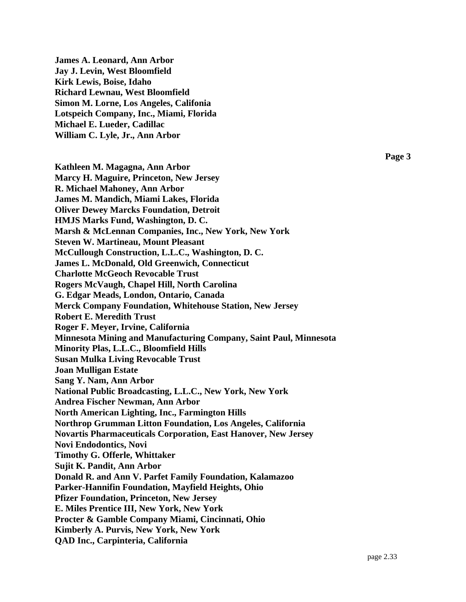**James A. Leonard, Ann Arbor Jay J. Levin, West Bloomfield Kirk Lewis, Boise, Idaho Richard Lewnau, West Bloomfield Simon M. Lorne, Los Angeles, Califonia Lotspeich Company, Inc., Miami, Florida Michael E. Lueder, Cadillac William C. Lyle, Jr., Ann Arbor**

**Kathleen M. Magagna, Ann Arbor Marcy H. Maguire, Princeton, New Jersey R. Michael Mahoney, Ann Arbor James M. Mandich, Miami Lakes, Florida Oliver Dewey Marcks Foundation, Detroit HMJS Marks Fund, Washington, D. C. Marsh & McLennan Companies, Inc., New York, New York Steven W. Martineau, Mount Pleasant McCullough Construction, L.L.C., Washington, D. C. James L. McDonald, Old Greenwich, Connecticut Charlotte McGeoch Revocable Trust Rogers McVaugh, Chapel Hill, North Carolina G. Edgar Meads, London, Ontario, Canada Merck Company Foundation, Whitehouse Station, New Jersey Robert E. Meredith Trust Roger F. Meyer, Irvine, California Minnesota Mining and Manufacturing Company, Saint Paul, Minnesota Minority Plas, L.L.C., Bloomfield Hills Susan Mulka Living Revocable Trust Joan Mulligan Estate Sang Y. Nam, Ann Arbor National Public Broadcasting, L.L.C., New York, New York Andrea Fischer Newman, Ann Arbor North American Lighting, Inc., Farmington Hills Northrop Grumman Litton Foundation, Los Angeles, California Novartis Pharmaceuticals Corporation, East Hanover, New Jersey Novi Endodontics, Novi Timothy G. Offerle, Whittaker Sujit K. Pandit, Ann Arbor Donald R. and Ann V. Parfet Family Foundation, Kalamazoo Parker-Hannifin Foundation, Mayfield Heights, Ohio Pfizer Foundation, Princeton, New Jersey E. Miles Prentice III, New York, New York Procter & Gamble Company Miami, Cincinnati, Ohio Kimberly A. Purvis, New York, New York QAD Inc., Carpinteria, California**

**Page 3**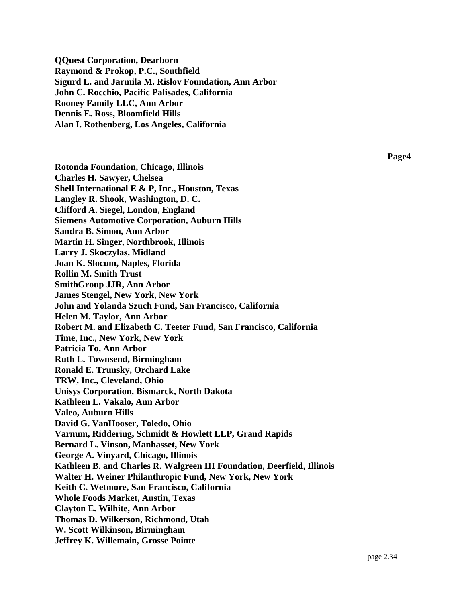**QQuest Corporation, Dearborn Raymond & Prokop, P.C., Southfield Sigurd L. and Jarmila M. Rislov Foundation, Ann Arbor John C. Rocchio, Pacific Palisades, California Rooney Family LLC, Ann Arbor Dennis E. Ross, Bloomfield Hills Alan I. Rothenberg, Los Angeles, California**

**Page4**

**Rotonda Foundation, Chicago, Illinois Charles H. Sawyer, Chelsea Shell International E & P, Inc., Houston, Texas Langley R. Shook, Washington, D. C. Clifford A. Siegel, London, England Siemens Automotive Corporation, Auburn Hills Sandra B. Simon, Ann Arbor Martin H. Singer, Northbrook, Illinois Larry J. Skoczylas, Midland Joan K. Slocum, Naples, Florida Rollin M. Smith Trust SmithGroup JJR, Ann Arbor James Stengel, New York, New York John and Yolanda Szuch Fund, San Francisco, California Helen M. Taylor, Ann Arbor Robert M. and Elizabeth C. Teeter Fund, San Francisco, California Time, Inc., New York, New York Patricia To, Ann Arbor Ruth L. Townsend, Birmingham Ronald E. Trunsky, Orchard Lake TRW, Inc., Cleveland, Ohio Unisys Corporation, Bismarck, North Dakota Kathleen L. Vakalo, Ann Arbor Valeo, Auburn Hills David G. VanHooser, Toledo, Ohio Varnum, Riddering, Schmidt & Howlett LLP, Grand Rapids Bernard L. Vinson, Manhasset, New York George A. Vinyard, Chicago, Illinois Kathleen B. and Charles R. Walgreen III Foundation, Deerfield, Illinois Walter H. Weiner Philanthropic Fund, New York, New York Keith C. Wetmore, San Francisco, California Whole Foods Market, Austin, Texas Clayton E. Wilhite, Ann Arbor Thomas D. Wilkerson, Richmond, Utah W. Scott Wilkinson, Birmingham Jeffrey K. Willemain, Grosse Pointe**